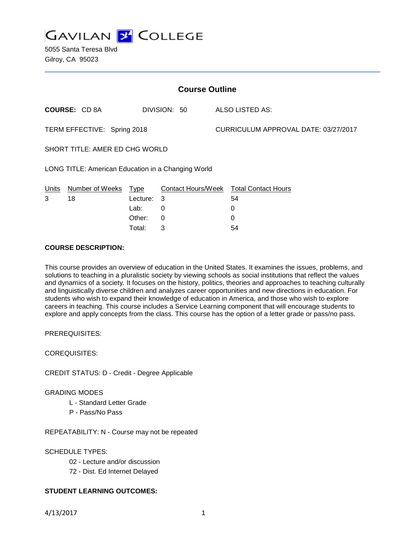

5055 Santa Teresa Blvd Gilroy, CA 95023

| <b>Course Outline</b>                              |                      |          |              |  |                                        |  |
|----------------------------------------------------|----------------------|----------|--------------|--|----------------------------------------|--|
|                                                    | <b>COURSE: CD 8A</b> |          | DIVISION: 50 |  | ALSO LISTED AS:                        |  |
| TERM EFFECTIVE: Spring 2018                        |                      |          |              |  | CURRICULUM APPROVAL DATE: 03/27/2017   |  |
| SHORT TITLE: AMER ED CHG WORLD                     |                      |          |              |  |                                        |  |
| LONG TITLE: American Education in a Changing World |                      |          |              |  |                                        |  |
| <b>Units</b>                                       | Number of Weeks      | Type     |              |  | Contact Hours/Week Total Contact Hours |  |
| 3                                                  | 18                   | Lecture: | 3            |  | 54                                     |  |
|                                                    |                      | Lab:     | 0            |  | 0                                      |  |
|                                                    |                      | Other:   | $\Omega$     |  | 0                                      |  |
|                                                    |                      | Total:   | 3            |  | 54                                     |  |

# **COURSE DESCRIPTION:**

This course provides an overview of education in the United States. It examines the issues, problems, and solutions to teaching in a pluralistic society by viewing schools as social institutions that reflect the values and dynamics of a society. It focuses on the history, politics, theories and approaches to teaching culturally and linguistically diverse children and analyzes career opportunities and new directions in education. For students who wish to expand their knowledge of education in America, and those who wish to explore careers in teaching. This course includes a Service Learning component that will encourage students to explore and apply concepts from the class. This course has the option of a letter grade or pass/no pass.

PREREQUISITES:

COREQUISITES:

CREDIT STATUS: D - Credit - Degree Applicable

GRADING MODES

L - Standard Letter Grade

P - Pass/No Pass

REPEATABILITY: N - Course may not be repeated

SCHEDULE TYPES:

02 - Lecture and/or discussion

72 - Dist. Ed Internet Delayed

### **STUDENT LEARNING OUTCOMES:**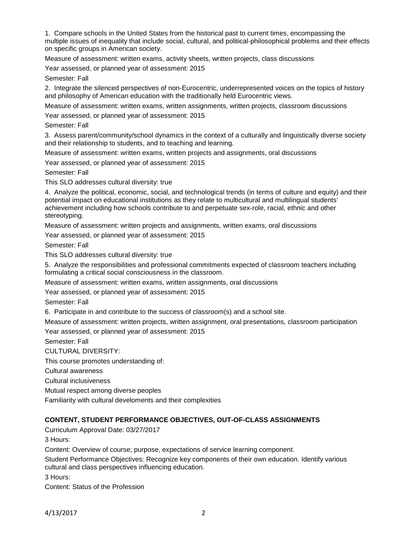1. Compare schools in the United States from the historical past to current times, encompassing the multiple issues of inequality that include social, cultural, and political-philosophical problems and their effects on specific groups in American society.

Measure of assessment: written exams, activity sheets, written projects, class discussions

Year assessed, or planned year of assessment: 2015

Semester: Fall

2. Integrate the silenced perspectives of non-Eurocentric, underrepresented voices on the topics of history and philosophy of American education with the traditionally held Eurocentric views.

Measure of assessment: written exams, written assignments, written projects, classroom discussions

Year assessed, or planned year of assessment: 2015

Semester: Fall

3. Assess parent/community/school dynamics in the context of a culturally and linguistically diverse society and their relationship to students, and to teaching and learning.

Measure of assessment: written exams, written projects and assignments, oral discussions

Year assessed, or planned year of assessment: 2015

Semester: Fall

This SLO addresses cultural diversity: true

4. Analyze the political, economic, social, and technological trends (in terms of culture and equity) and their potential impact on educational institutions as they relate to multicultural and multilingual students' achievement including how schools contribute to and perpetuate sex-role, racial, ethnic and other stereotyping.

Measure of assessment: written projects and assignments, written exams, oral discussions

Year assessed, or planned year of assessment: 2015

Semester: Fall

This SLO addresses cultural diversity: true

5. Analyze the responsibilities and professional commitments expected of classroom teachers including formulating a critical social consciousness in the classroom.

Measure of assessment: written exams, written assignments, oral discussions

Year assessed, or planned year of assessment: 2015

Semester: Fall

6. Participate in and contribute to the success of classroom(s) and a school site.

Measure of assessment: written projects, written assignment, oral presentations, classroom participation

Year assessed, or planned year of assessment: 2015

Semester: Fall

CULTURAL DIVERSITY:

This course promotes understanding of:

Cultural awareness

Cultural inclusiveness

Mutual respect among diverse peoples

Familiarity with cultural develoments and their complexities

#### **CONTENT, STUDENT PERFORMANCE OBJECTIVES, OUT-OF-CLASS ASSIGNMENTS**

Curriculum Approval Date: 03/27/2017

3 Hours:

Content: Overview of course; purpose, expectations of service learning component.

Student Performance Objectives: Recognize key components of their own education. Identify various cultural and class perspectives influencing education.

3 Hours:

Content: Status of the Profession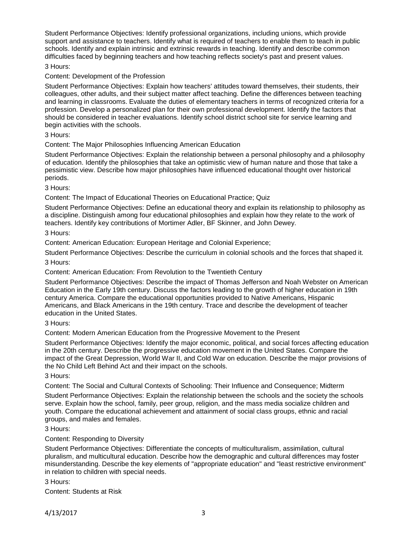Student Performance Objectives: Identify professional organizations, including unions, which provide support and assistance to teachers. Identify what is required of teachers to enable them to teach in public schools. Identify and explain intrinsic and extrinsic rewards in teaching. Identify and describe common difficulties faced by beginning teachers and how teaching reflects society's past and present values.

## 3 Hours:

# Content: Development of the Profession

Student Performance Objectives: Explain how teachers' attitudes toward themselves, their students, their colleagues, other adults, and their subject matter affect teaching. Define the differences between teaching and learning in classrooms. Evaluate the duties of elementary teachers in terms of recognized criteria for a profession. Develop a personalized plan for their own professional development. Identify the factors that should be considered in teacher evaluations. Identify school district school site for service learning and begin activities with the schools.

### 3 Hours:

### Content: The Major Philosophies Influencing American Education

Student Performance Objectives: Explain the relationship between a personal philosophy and a philosophy of education. Identify the philosophies that take an optimistic view of human nature and those that take a pessimistic view. Describe how major philosophies have influenced educational thought over historical periods.

### 3 Hours:

Content: The Impact of Educational Theories on Educational Practice; Quiz

Student Performance Objectives: Define an educational theory and explain its relationship to philosophy as a discipline. Distinguish among four educational philosophies and explain how they relate to the work of teachers. Identify key contributions of Mortimer Adler, BF Skinner, and John Dewey.

### 3 Hours:

Content: American Education: European Heritage and Colonial Experience;

Student Performance Objectives: Describe the curriculum in colonial schools and the forces that shaped it.

3 Hours:

Content: American Education: From Revolution to the Twentieth Century

Student Performance Objectives: Describe the impact of Thomas Jefferson and Noah Webster on American Education in the Early 19th century. Discuss the factors leading to the growth of higher education in 19th century America. Compare the educational opportunities provided to Native Americans, Hispanic Americans, and Black Americans in the 19th century. Trace and describe the development of teacher education in the United States.

### 3 Hours:

Content: Modern American Education from the Progressive Movement to the Present

Student Performance Objectives: Identify the major economic, political, and social forces affecting education in the 20th century. Describe the progressive education movement in the United States. Compare the impact of the Great Depression, World War II, and Cold War on education. Describe the major provisions of the No Child Left Behind Act and their impact on the schools.

### 3 Hours:

Content: The Social and Cultural Contexts of Schooling: Their Influence and Consequence; Midterm

Student Performance Objectives: Explain the relationship between the schools and the society the schools serve. Explain how the school, family, peer group, religion, and the mass media socialize children and youth. Compare the educational achievement and attainment of social class groups, ethnic and racial groups, and males and females.

### 3 Hours:

### Content: Responding to Diversity

Student Performance Objectives: Differentiate the concepts of multiculturalism, assimilation, cultural pluralism, and multicultural education. Describe how the demographic and cultural differences may foster misunderstanding. Describe the key elements of "appropriate education" and "least restrictive environment" in relation to children with special needs.

3 Hours:

Content: Students at Risk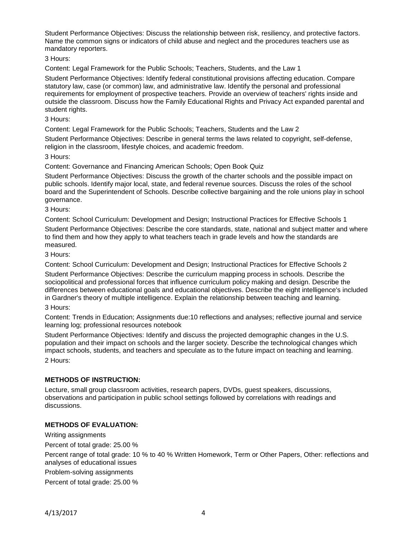Student Performance Objectives: Discuss the relationship between risk, resiliency, and protective factors. Name the common signs or indicators of child abuse and neglect and the procedures teachers use as mandatory reporters.

3 Hours:

Content: Legal Framework for the Public Schools; Teachers, Students, and the Law 1

Student Performance Objectives: Identify federal constitutional provisions affecting education. Compare statutory law, case (or common) law, and administrative law. Identify the personal and professional requirements for employment of prospective teachers. Provide an overview of teachers' rights inside and outside the classroom. Discuss how the Family Educational Rights and Privacy Act expanded parental and student rights.

3 Hours:

Content: Legal Framework for the Public Schools; Teachers, Students and the Law 2

Student Performance Objectives: Describe in general terms the laws related to copyright, self-defense, religion in the classroom, lifestyle choices, and academic freedom.

3 Hours:

Content: Governance and Financing American Schools; Open Book Quiz

Student Performance Objectives: Discuss the growth of the charter schools and the possible impact on public schools. Identify major local, state, and federal revenue sources. Discuss the roles of the school board and the Superintendent of Schools. Describe collective bargaining and the role unions play in school governance.

3 Hours:

Content: School Curriculum: Development and Design; Instructional Practices for Effective Schools 1

Student Performance Objectives: Describe the core standards, state, national and subject matter and where to find them and how they apply to what teachers teach in grade levels and how the standards are measured.

3 Hours:

Content: School Curriculum: Development and Design; Instructional Practices for Effective Schools 2

Student Performance Objectives: Describe the curriculum mapping process in schools. Describe the sociopolitical and professional forces that influence curriculum policy making and design. Describe the differences between educational goals and educational objectives. Describe the eight intelligence's included in Gardner's theory of multiple intelligence. Explain the relationship between teaching and learning.

3 Hours:

Content: Trends in Education; Assignments due:10 reflections and analyses; reflective journal and service learning log; professional resources notebook

Student Performance Objectives: Identify and discuss the projected demographic changes in the U.S. population and their impact on schools and the larger society. Describe the technological changes which impact schools, students, and teachers and speculate as to the future impact on teaching and learning. 2 Hours:

### **METHODS OF INSTRUCTION:**

Lecture, small group classroom activities, research papers, DVDs, guest speakers, discussions, observations and participation in public school settings followed by correlations with readings and discussions.

### **METHODS OF EVALUATION:**

Writing assignments

Percent of total grade: 25.00 %

Percent range of total grade: 10 % to 40 % Written Homework, Term or Other Papers, Other: reflections and analyses of educational issues

Problem-solving assignments

Percent of total grade: 25.00 %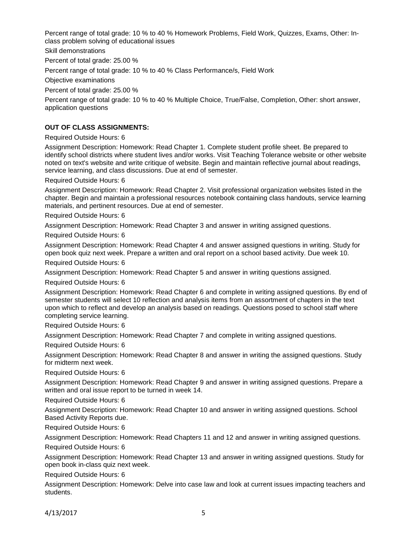Percent range of total grade: 10 % to 40 % Homework Problems, Field Work, Quizzes, Exams, Other: Inclass problem solving of educational issues

Skill demonstrations

Percent of total grade: 25.00 %

Percent range of total grade: 10 % to 40 % Class Performance/s, Field Work

Objective examinations

Percent of total grade: 25.00 %

Percent range of total grade: 10 % to 40 % Multiple Choice, True/False, Completion, Other: short answer, application questions

## **OUT OF CLASS ASSIGNMENTS:**

Required Outside Hours: 6

Assignment Description: Homework: Read Chapter 1. Complete student profile sheet. Be prepared to identify school districts where student lives and/or works. Visit Teaching Tolerance website or other website noted on text's website and write critique of website. Begin and maintain reflective journal about readings, service learning, and class discussions. Due at end of semester.

Required Outside Hours: 6

Assignment Description: Homework: Read Chapter 2. Visit professional organization websites listed in the chapter. Begin and maintain a professional resources notebook containing class handouts, service learning materials, and pertinent resources. Due at end of semester.

Required Outside Hours: 6

Assignment Description: Homework: Read Chapter 3 and answer in writing assigned questions.

Required Outside Hours: 6

Assignment Description: Homework: Read Chapter 4 and answer assigned questions in writing. Study for open book quiz next week. Prepare a written and oral report on a school based activity. Due week 10.

Required Outside Hours: 6

Assignment Description: Homework: Read Chapter 5 and answer in writing questions assigned.

Required Outside Hours: 6

Assignment Description: Homework: Read Chapter 6 and complete in writing assigned questions. By end of semester students will select 10 reflection and analysis items from an assortment of chapters in the text upon which to reflect and develop an analysis based on readings. Questions posed to school staff where completing service learning.

Required Outside Hours: 6

Assignment Description: Homework: Read Chapter 7 and complete in writing assigned questions.

Required Outside Hours: 6

Assignment Description: Homework: Read Chapter 8 and answer in writing the assigned questions. Study for midterm next week.

Required Outside Hours: 6

Assignment Description: Homework: Read Chapter 9 and answer in writing assigned questions. Prepare a written and oral issue report to be turned in week 14.

Required Outside Hours: 6

Assignment Description: Homework: Read Chapter 10 and answer in writing assigned questions. School Based Activity Reports due.

Required Outside Hours: 6

Assignment Description: Homework: Read Chapters 11 and 12 and answer in writing assigned questions.

Required Outside Hours: 6

Assignment Description: Homework: Read Chapter 13 and answer in writing assigned questions. Study for open book in-class quiz next week.

Required Outside Hours: 6

Assignment Description: Homework: Delve into case law and look at current issues impacting teachers and students.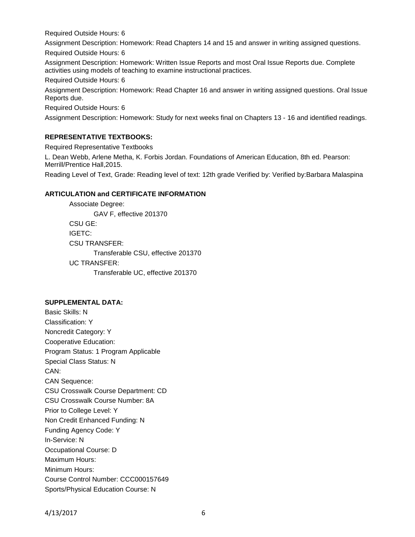Required Outside Hours: 6

Assignment Description: Homework: Read Chapters 14 and 15 and answer in writing assigned questions. Required Outside Hours: 6

Assignment Description: Homework: Written Issue Reports and most Oral Issue Reports due. Complete activities using models of teaching to examine instructional practices.

Required Outside Hours: 6

Assignment Description: Homework: Read Chapter 16 and answer in writing assigned questions. Oral Issue Reports due.

Required Outside Hours: 6

Assignment Description: Homework: Study for next weeks final on Chapters 13 - 16 and identified readings.

## **REPRESENTATIVE TEXTBOOKS:**

Required Representative Textbooks

L. Dean Webb, Arlene Metha, K. Forbis Jordan. Foundations of American Education, 8th ed. Pearson: Merrill/Prentice Hall,2015.

Reading Level of Text, Grade: Reading level of text: 12th grade Verified by: Verified by:Barbara Malaspina

### **ARTICULATION and CERTIFICATE INFORMATION**

Associate Degree: GAV F, effective 201370 CSU GE: IGETC: CSU TRANSFER: Transferable CSU, effective 201370 UC TRANSFER: Transferable UC, effective 201370

#### **SUPPLEMENTAL DATA:**

Basic Skills: N Classification: Y Noncredit Category: Y Cooperative Education: Program Status: 1 Program Applicable Special Class Status: N CAN: CAN Sequence: CSU Crosswalk Course Department: CD CSU Crosswalk Course Number: 8A Prior to College Level: Y Non Credit Enhanced Funding: N Funding Agency Code: Y In-Service: N Occupational Course: D Maximum Hours: Minimum Hours: Course Control Number: CCC000157649 Sports/Physical Education Course: N